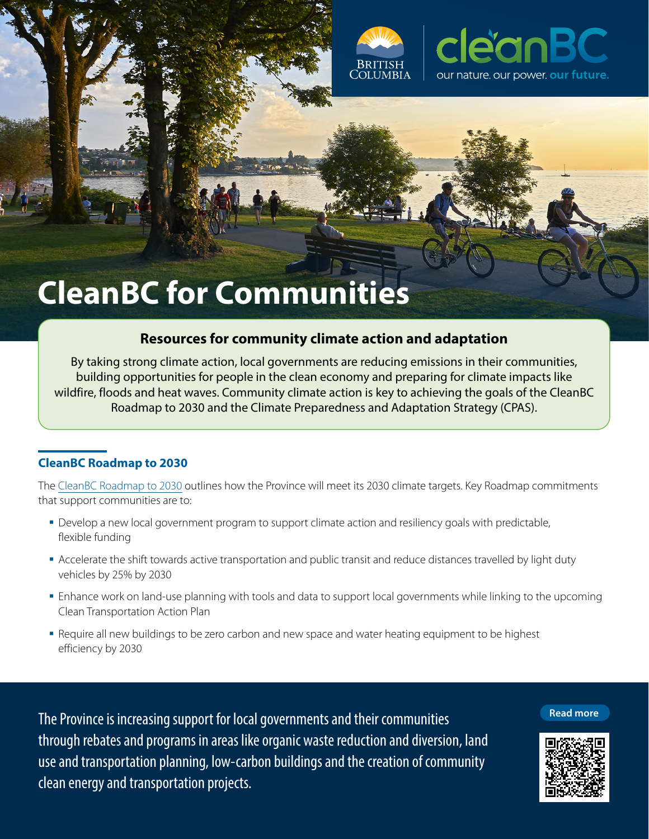



# **CleanBC for Communities**

## **Resources for community climate action and adaptation**

By taking strong climate action, local governments are reducing emissions in their communities, building opportunities for people in the clean economy and preparing for climate impacts like wildfire, floods and heat waves. Community climate action is key to achieving the goals of the CleanBC Roadmap to 2030 and the Climate Preparedness and Adaptation Strategy (CPAS).

## **CleanBC Roadmap to 2030**

**Roadman** 

The [CleanBC Roadmap to 2030](https://cleanbc.gov.bc.ca/) outlines how the Province will meet its 2030 climate targets. Key Roadmap commitments that support communities are to:

- Develop a new local government program to support climate action and resiliency goals with predictable, flexible funding
- Accelerate the shift towards active transportation and public transit and reduce distances travelled by light duty vehicles by 25% by 2030
- Enhance work on land-use planning with tools and data to support local governments while linking to the upcoming Clean Transportation Action Plan
- **-** Require all new buildings to be zero carbon and new space and water heating equipment to be highest efficiency by 2030

The Province is increasing support for local governments and their communities through rebates and programs in areas like organic waste reduction and diversion, land use and transportation planning, low-carbon buildings and the creation of community clean energy and transportation projects.

#### **[Read more](https://www2.gov.bc.ca/gov/content/environment/climate-change/clean-buildings#programs)**